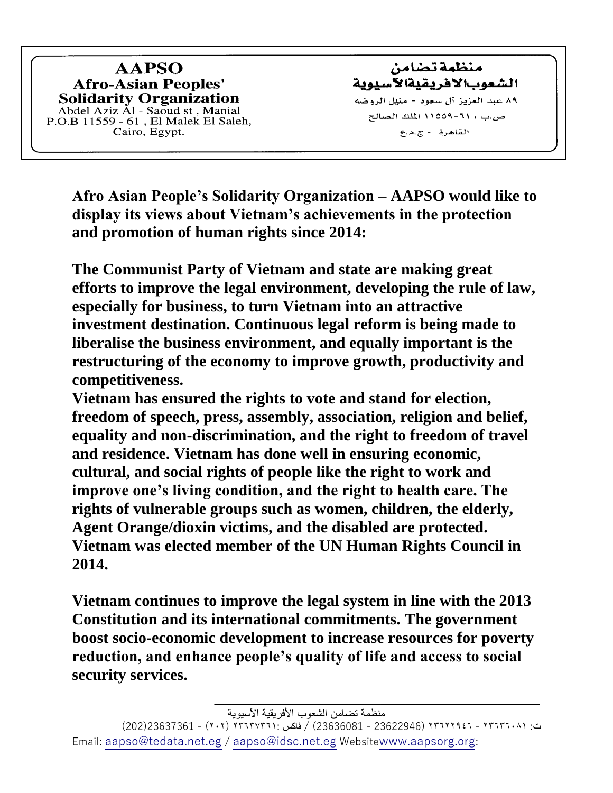**AAPSO Afro-Asian Peoples' Solidarity Organization** Abdel Aziz Al - Saoud st , Manial<br>P.O.B 11559 - 61 , El Malek El Saleh,<br>Cairo, Egypt.

منظمة تصامن الشعوبالافر يقيةالآسيوية ٨٩ عبد العزيز آل سعود - منيل الروضه ص.ب 1 ٦٦-١٥٥٩ الملك الصالح القاهرة -ج.م.ع

**Afro Asian People's Solidarity Organization – AAPSO would like to display its views about Vietnam's achievements in the protection and promotion of human rights since 2014:** 

**The Communist Party of Vietnam and state are making great efforts to improve the legal environment, developing the rule of law, especially for business, to turn Vietnam into an attractive investment destination. Continuous legal reform is being made to liberalise the business environment, and equally important is the restructuring of the economy to improve growth, productivity and competitiveness.**

**Vietnam has ensured the rights to vote and stand for election, freedom of speech, press, assembly, association, religion and belief, equality and non-discrimination, and the right to freedom of travel and residence. Vietnam has done well in ensuring economic, cultural, and social rights of people like the right to work and improve one's living condition, and the right to health care. The rights of vulnerable groups such as women, children, the elderly, Agent Orange/dioxin victims, and the disabled are protected. Vietnam was elected member of the UN Human Rights Council in 2014.**

**Vietnam continues to improve the legal system in line with the 2013 Constitution and its international commitments. The government boost socio-economic development to increase resources for poverty reduction, and enhance people's quality of life and access to social security services.**

ت: ٢٣٦٣٦٠٨١ - ٢٣٦٢٢٩٤٦ )23622946 - 23636081( / فاكس ٢٣٦٣٧٣٦١: )٢٠٢( - 23637361)202( Email: [aapso@tedata.net.eg](mailto:aapso@tedata.net.eg) / [aapso@idsc.net.eg](mailto:aapso@idsc.net.eg) Website[www.aapsorg.org](http://www.aapso.fg2o.org/):